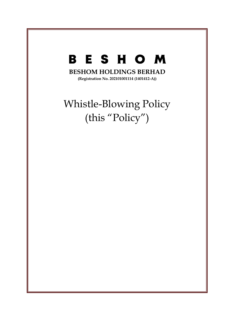# **BESHOM**

**BESHOM HOLDINGS BERHAD**

**(Registration No. 202101001114 (1401412-A))**

# Whistle-Blowing Policy (this "Policy")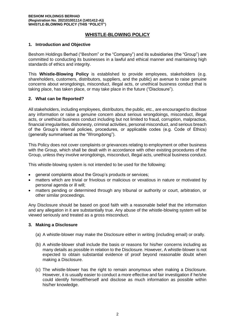# **WHISTLE-BLOWING POLICY**

#### **1. Introduction and Objective**

Beshom Holdings Berhad ("Beshom" or the "Company") and its subsidiaries (the "Group") are committed to conducting its businesses in a lawful and ethical manner and maintaining high standards of ethics and integrity.

This **Whistle-Blowing Policy** is established to provide employees, stakeholders (e.g. shareholders, customers, distributors, suppliers, and the public) an avenue to raise genuine concerns about wrongdoings, misconduct, illegal acts, or unethical business conduct that is taking place, has taken place, or may take place in the future ("Disclosure").

### **2. What can be Reported?**

All stakeholders, including employees, distributors, the public, etc., are encouraged to disclose any information or raise a genuine concern about serious wrongdoings, misconduct, illegal acts, or unethical business conduct including but not limited to fraud, corruption, malpractice, financial irregularities, dishonesty, criminal activities, personal misconduct, and serious breach of the Group's internal policies, procedures, or applicable codes (e.g. Code of Ethics) (generally summarised as the "Wrongdoing").

This Policy does not cover complaints or grievances relating to employment or other business with the Group, which shall be dealt with in accordance with other existing procedures of the Group, unless they involve wrongdoings, misconduct, illegal acts, unethical business conduct.

This whistle-blowing system is not intended to be used for the following:

- general complaints about the Group's products or services;
- matters which are trivial or frivolous or malicious or vexatious in nature or motivated by personal agenda or ill will;
- matters pending or determined through any tribunal or authority or court, arbitration, or other similar proceedings.

Any Disclosure should be based on good faith with a reasonable belief that the information and any allegation in it are substantially true. Any abuse of the whistle-blowing system will be viewed seriously and treated as a gross misconduct.

#### **3. Making a Disclosure**

- (a) A whistle-blower may make the Disclosure either in writing (including email) or orally.
- (b) A whistle-blower shall include the basis or reasons for his/her concerns including as many details as possible in relation to the Disclosure. However, A whistle-blower is not expected to obtain substantial evidence of proof beyond reasonable doubt when making a Disclosure.
- (c) The whistle-blower has the right to remain anonymous when making a Disclosure. However, it is usually easier to conduct a more effective and fair investigation if he/she could identify himself/herself and disclose as much information as possible within his/her knowledge.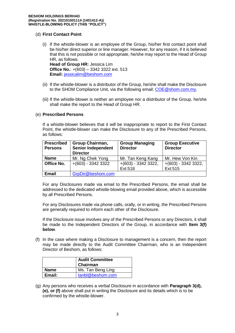## (d) **First Contact Point**

- (i) If the whistle-blower is an employee of the Group, his/her first contact point shall be his/her direct superior or line manager. However, for any reason, if it is believed that this is not possible or not appropriate, he/she may report to the Head of Group HR, as follows: **Head of Group HR:** Jessica Lim **Office No.**: +(603) – 3342 3322 ext. 513 **Email:** [jessicalim@beshom.com](mailto:jessicalim@beshom.com)
- (ii) If the whistle-blower is a distributor of the Group, he/she shall make the Disclosure to the SHOM Compliance Unit, via the following email: [COE@shom.com.my.](mailto:COE@shom.com.my)
- (iii) If the whistle-blower is neither an employee nor a distributor of the Group, he/she shall make the report to the Head of Group HR.

#### (e) **Prescribed Persons**

If a whistle-blower believes that it will be inappropriate to report to the First Contact Point, the whistle-blower can make the Disclosure to any of the Prescribed Persons, as follows:

| <b>Prescribed</b><br><b>Persons</b> | <b>Group Chairman,</b><br><b>Senior Independent</b><br><b>Director</b> | <b>Group Managing</b><br><b>Director</b> | <b>Group Executive</b><br><b>Director</b> |
|-------------------------------------|------------------------------------------------------------------------|------------------------------------------|-------------------------------------------|
| <b>Name</b>                         | Mr. Ng Chek Yong                                                       | Mr. Tan Keng Kang                        | Mr. Hew Von Kin                           |
| Office No.                          | $+(603) - 33423322$                                                    | $+(603) - 33423322,$<br>Ext:518          | $+(603) - 33423322,$<br>Ext:515           |
| <b>Email</b>                        | GrpDir@beshom.com                                                      |                                          |                                           |

For any Disclosures made via email to the Prescribed Persons, the email shall be addressed to the dedicated whistle-blowing email provided above, which is accessible by all Prescribed Persons.

For any Disclosures made via phone calls, orally, or in writing, the Prescribed Persons are generally required to inform each other of the Disclosure.

If the Disclosure issue involves any of the Prescribed Persons or any Directors, it shall be made to the Independent Directors of the Group, in accordance with **Item 3(f) below**.

(f) In the case where making a Disclosure to management is a concern, then the report may be made directly to the Audit Committee Chairman, who is an Independent Director of Beshom, as follows:

|             | <b>Audit Committee</b><br>Chairman |
|-------------|------------------------------------|
| <b>Name</b> | Ms. Tan Beng Ling                  |
| Email:      | tanbl@beshom.com                   |

(g) Any persons who receives a verbal Disclosure in accordance with **Paragraph 3(d), (e), or (f)** above shall put in writing the Disclosure and its details which is to be confirmed by the whistle-blower.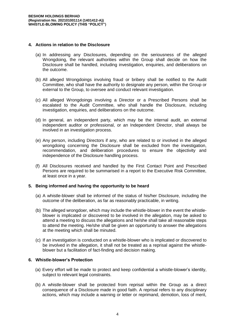### **4. Actions in relation to the Disclosure**

- (a) In addressing any Disclosures, depending on the seriousness of the alleged Wrongdoing, the relevant authorities within the Group shall decide on how the Disclosure shall be handled, including investigation, enquiries, and deliberations on the outcome.
- (b) All alleged Wrongdoings involving fraud or bribery shall be notified to the Audit Committee, who shall have the authority to designate any person, within the Group or external to the Group, to oversee and conduct relevant investigation.
- (c) All alleged Wrongdoings involving a Director or a Prescribed Persons shall be escalated to the Audit Committee, who shall handle the Disclosure, including investigation, enquiries, and deliberations on the outcome.
- (d) In general, an independent party, which may be the internal audit, an external independent auditor or professional, or an Independent Director, shall always be involved in an investigation process.
- (e) Any person, including Directors if any, who are related to or involved in the alleged wrongdoing concerning the Disclosure shall be excluded from the investigation, recommendation, and deliberation procedures to ensure the objectivity and independence of the Disclosure handling process.
- (f) All Disclosures received and handled by the First Contact Point and Prescribed Persons are required to be summarised in a report to the Executive Risk Committee, at least once in a year.

#### **5. Being informed and having the opportunity to be heard**

- (a) A whistle-blower shall be informed of the status of his/her Disclosure, including the outcome of the deliberation, as far as reasonably practicable, in writing.
- (b) The alleged wrongdoer, which may include the whistle-blower in the event the whistleblower is implicated or discovered to be involved in the allegation, may be asked to attend a meeting to discuss the allegations and he/she shall take all reasonable steps to attend the meeting. He/she shall be given an opportunity to answer the allegations at the meeting which shall be minuted.
- (c) If an investigation is conducted on a whistle-blower who is implicated or discovered to be involved in the allegation, it shall not be treated as a reprisal against the whistleblower but a facilitation of fact-finding and decision making.

### **6. Whistle-blower's Protection**

- (a) Every effort will be made to protect and keep confidential a whistle-blower's identity, subject to relevant legal constraints.
- (b) A whistle-blower shall be protected from reprisal within the Group as a direct consequence of a Disclosure made in good faith. A reprisal refers to any disciplinary actions, which may include a warning or letter or reprimand, demotion, loss of merit,